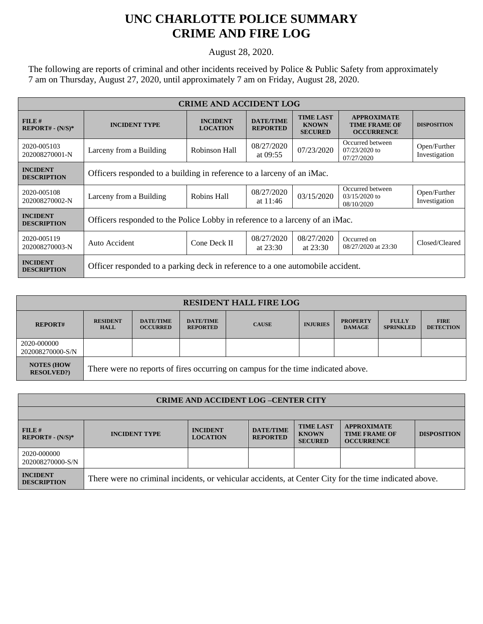## **UNC CHARLOTTE POLICE SUMMARY CRIME AND FIRE LOG**

August 28, 2020.

The following are reports of criminal and other incidents received by Police & Public Safety from approximately 7 am on Thursday, August 27, 2020, until approximately 7 am on Friday, August 28, 2020.

| <b>CRIME AND ACCIDENT LOG</b>         |                                                                                |                                    |                                     |                                                    |                                                                 |                               |  |  |
|---------------------------------------|--------------------------------------------------------------------------------|------------------------------------|-------------------------------------|----------------------------------------------------|-----------------------------------------------------------------|-------------------------------|--|--|
| FILE#<br>$REPORT# - (N/S)*$           | <b>INCIDENT TYPE</b>                                                           | <b>INCIDENT</b><br><b>LOCATION</b> | <b>DATE/TIME</b><br><b>REPORTED</b> | <b>TIME LAST</b><br><b>KNOWN</b><br><b>SECURED</b> | <b>APPROXIMATE</b><br><b>TIME FRAME OF</b><br><b>OCCURRENCE</b> | <b>DISPOSITION</b>            |  |  |
| 2020-005103<br>202008270001-N         | Larceny from a Building                                                        | Robinson Hall                      | 08/27/2020<br>at $09:55$            | 07/23/2020                                         | Occurred between<br>$07/23/2020$ to<br>07/27/2020               | Open/Further<br>Investigation |  |  |
| <b>INCIDENT</b><br><b>DESCRIPTION</b> | Officers responded to a building in reference to a larceny of an iMac.         |                                    |                                     |                                                    |                                                                 |                               |  |  |
| 2020-005108<br>202008270002-N         | Larceny from a Building                                                        | Robins Hall                        | 08/27/2020<br>at $11:46$            | 03/15/2020                                         | Occurred between<br>$03/15/2020$ to<br>08/10/2020               | Open/Further<br>Investigation |  |  |
| <b>INCIDENT</b><br><b>DESCRIPTION</b> | Officers responded to the Police Lobby in reference to a larceny of an iMac.   |                                    |                                     |                                                    |                                                                 |                               |  |  |
| 2020-005119<br>202008270003-N         | Auto Accident                                                                  | Cone Deck II                       | 08/27/2020<br>at $23:30$            | 08/27/2020<br>at $23:30$                           | Occurred on<br>08/27/2020 at 23:30                              | Closed/Cleared                |  |  |
| <b>INCIDENT</b><br><b>DESCRIPTION</b> | Officer responded to a parking deck in reference to a one automobile accident. |                                    |                                     |                                                    |                                                                 |                               |  |  |

| <b>RESIDENT HALL FIRE LOG</b>          |                                                                                  |                                     |                                     |              |                 |                                  |                                  |                                 |  |
|----------------------------------------|----------------------------------------------------------------------------------|-------------------------------------|-------------------------------------|--------------|-----------------|----------------------------------|----------------------------------|---------------------------------|--|
| <b>REPORT#</b>                         | <b>RESIDENT</b><br><b>HALL</b>                                                   | <b>DATE/TIME</b><br><b>OCCURRED</b> | <b>DATE/TIME</b><br><b>REPORTED</b> | <b>CAUSE</b> | <b>INJURIES</b> | <b>PROPERTY</b><br><b>DAMAGE</b> | <b>FULLY</b><br><b>SPRINKLED</b> | <b>FIRE</b><br><b>DETECTION</b> |  |
| 2020-000000<br>202008270000-S/N        |                                                                                  |                                     |                                     |              |                 |                                  |                                  |                                 |  |
| <b>NOTES (HOW</b><br><b>RESOLVED?)</b> | There were no reports of fires occurring on campus for the time indicated above. |                                     |                                     |              |                 |                                  |                                  |                                 |  |

| <b>CRIME AND ACCIDENT LOG-CENTER CITY</b> |                                                                                                        |                                    |                                     |                                                    |                                                                 |                    |  |
|-------------------------------------------|--------------------------------------------------------------------------------------------------------|------------------------------------|-------------------------------------|----------------------------------------------------|-----------------------------------------------------------------|--------------------|--|
|                                           |                                                                                                        |                                    |                                     |                                                    |                                                                 |                    |  |
| FILE#<br>$REPORT# - (N/S)*$               | <b>INCIDENT TYPE</b>                                                                                   | <b>INCIDENT</b><br><b>LOCATION</b> | <b>DATE/TIME</b><br><b>REPORTED</b> | <b>TIME LAST</b><br><b>KNOWN</b><br><b>SECURED</b> | <b>APPROXIMATE</b><br><b>TIME FRAME OF</b><br><b>OCCURRENCE</b> | <b>DISPOSITION</b> |  |
| 2020-000000<br>202008270000-S/N           |                                                                                                        |                                    |                                     |                                                    |                                                                 |                    |  |
| <b>INCIDENT</b><br><b>DESCRIPTION</b>     | There were no criminal incidents, or vehicular accidents, at Center City for the time indicated above. |                                    |                                     |                                                    |                                                                 |                    |  |